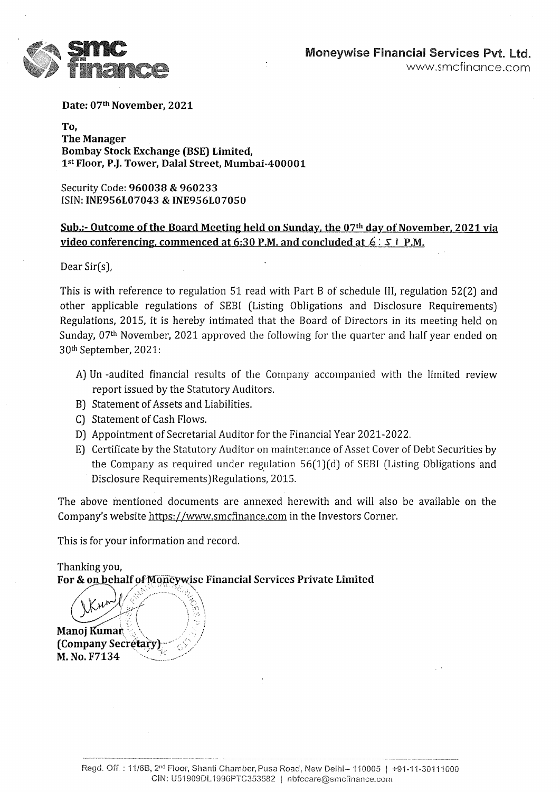

Date: 07th November, 2021

To, The Manager Bombay Stock Exchange (BSE) Limited, 15t Floor, P.J. Tower, Dalal Street, Mumbai-400001

Security Code: 960038 & 960233 ISIN: INE956L07043 & INE956L07050

#### Sub.:- Outcome of the Board Meeting held on Sunday, the  $07<sup>th</sup>$  day of November, 2021 via video conferencing, commenced at 6:30 P.M. and concluded at  $6: 5 \perp P.M$ .

Dear Sir(s),

This is with reference to regulation 51 read with Part B of schedule III, regulation 52(2) and other applicable regulations of SEBI (Listing Obligations and Disclosure Requirements) Regulations, 2015, it is hereby intimated that the Board of Directors in its meeting held on Sunday, 07<sup>th</sup> November, 2021 approved the following for the quarter and half year ended on 30% September, 2021:

- A) Un -audited financial results of the Company accompanied with the limited review report issued by the Statutory Auditors.
- B) Statement of Assets and Liabilities.
- C) Statement of Cash Flows.
- D) Appointment of Secretarial Auditor for the Financial Year 2021-2022.
- E) Certificate by the Statutory Auditor on maintenance of Asset Cover of Debt Securities by the Company as required under regulation 56(1)(d) of SEBI (Listing Obligations and Disclosure Requirements) Regulations, 2015.

The above mentioned documents are annexed herewith and will also be available on the Company's website https://www.smcfinance.com in the Investors Corner.

This is for your information and record.

Thanking you, For & on behalf of Moneywise Financial Services Private Limited

 $\begin{CD} \textbf{(Compan)} \ \textbf{M. No. F7} \end{CD}$  $\frac{1}{2}$ Manoj Kumar, (Company Secretary M. No. F7134 Facture of Assets and Liabilities.<br>
Statement of Assets and Liabilities.<br>
Statement of Cash Flows.<br>
Appointment of Secretarial Auditor for<br>
Certificate by the Statutory Auditor on it<br>
the Company as required under regul.<br>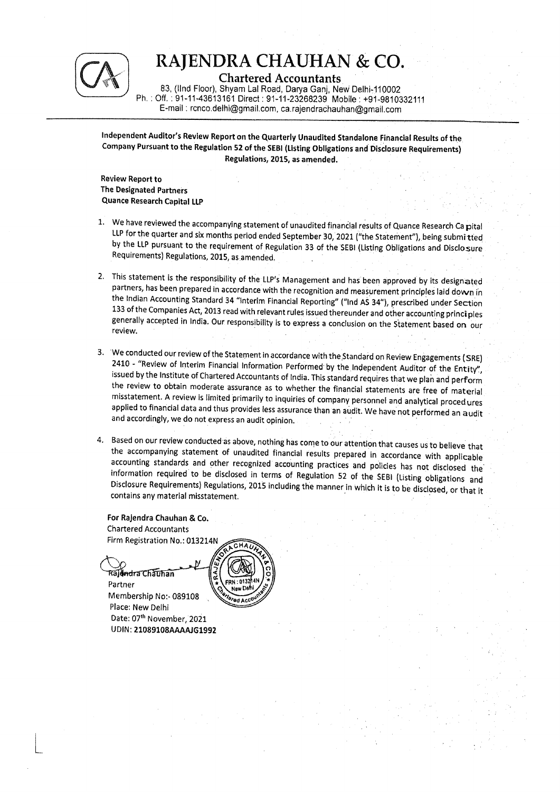

Chartered Accountants.

83, (IInd Floor), Shyam Lal Road, Darya Ganj, New Delhi-110002 Ph. : Off. : 91-11-43613161 Direct : 91-11-23268239 Mobile : +91-9810332111 E-mail : rcnco.dethi@gmail.com, ca.rajendrachauhan@gmail.com  $\begin{tabular}{|c|c|} \hline & RAJENDRA CH\\ & \multicolumn{1}{|c|}{\textbf{CA}}\\ \hline \textbf{83, (lind Floor), Shyam Lal Road} \\ \textbf{Ph. : Off. : 91-11-43613161 Direct : 91-11}\\ \hline \textbf{E-mail : reco.delh@gmail.com,}\\ \hline \end{tabular}$ 

> Independent Auditor's Review Report on the Quarterly Unaudited Standalone Financial Results of the Company Pursuant to the Regulation 52 of the SEBI (Listing Obligations and Disclosure Requirements) Regulations, 2015, as amended.

Review Report to The Designated Partners Quance Research Capital LLP

- 1. We have reviewed the accompanying statement of unaudited financial results of Quance Research Ca pital<br>LLP for the quarter and six months period ended September 30, 2021 ("the Statement"), being submitted<br>by the LLP pur
- 2. This statement is the responsibility of the LLP's Management and has been approved by its designated partners, has been prepared in accordance with the recognition and measurement principles laid down in the Indian Acco
- 3. We conducted our review of the Statement in accordance with the Standard on Review Engagements (SRE)<br>2410 "Review of Interim Financial Information Performed by the Independent Auditor of the Entity",<br>issued by the Ins
- 4. Based on our review conducted as above, nothing has come to our attention that causes us to believe that<br>the accompanying statement of unaudited financial results prepared in accordance with applicable<br>accounting standa

For Rajendra Chauhan & Co. Chartered Accountants Firm Registration No.: 013214N Rajendra (<br>artered Acc<br>m Registrati<br>(<br>सैलवान्द टार्कि

 Partner Membership No:- 089108 Place: New Delhi Date: 07" November, 2021 UDIN: 21089108AAAAJG1992

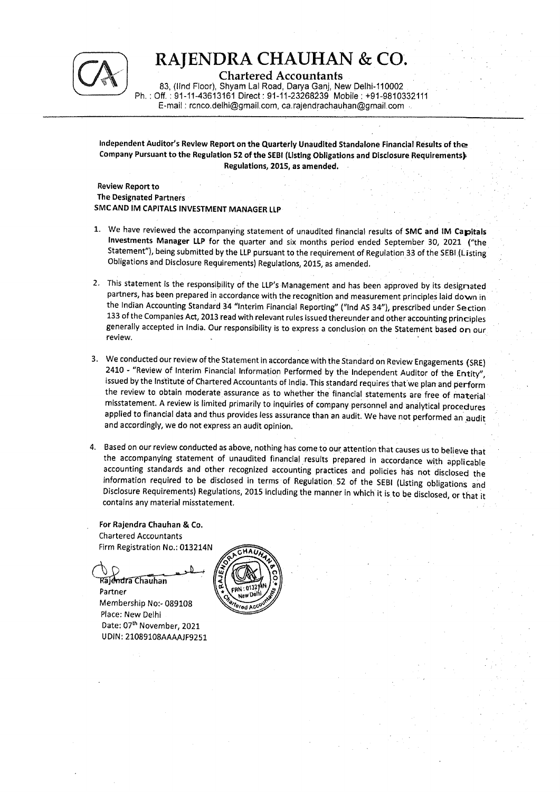

Chartered Accountants

83, (IInd Floor), Shyam Lal Road, Darya Ganj, New Delhi-110002 Ph. : Off. : 91-11-43613161 Direct: 91-11-23268239 Mobile : #91-9810332111 E-mail : renco.delhi@gmail.com, ca.rajendrachauhan@gmail.com -

Independent Auditor's Review Report on the Quarterly Unaudited Standalone Financial Results of the Company Pursuant to the Regulation 52 of the SEBI (Listing Obligations and Disclosure Requirements} Regulations, 2015, as amended.

Review Report to The Designated Partners SMC AND IM CAPITALS INVESTMENT MANAGER LLP

- 1. We have reviewed the accompanying statement of unaudited financial results of SMC and IM Capitals<br>Investments Manager LLP for the quarter and six months period ended September 30, 2021 ("the Statement"), being submitted by the LLP pursuant to the requirement of Regulation 33 of the SEBI (Listing Obligations and Disclosure Requirements) Regulations, 2015, as amended.
- 2. This statement is the responsibility of the LLP's Management and has been approved by its designated partners, has been prepared in accordance with the recognition and measurement principles laid down in the Indian Accounting Standard 34 "Interim Financial Reporting" ("Ind AS 34"), prescribed under Section<br>133 of the Companies Act, 2013 read with relevant rules issued thereunder and other accounting principles generally accepted in India. Our responsibility is to express a conclusion on the Statement based on our review.
- 3. We conducted our review of the Statement in accordance with the Standard on Review Engagements (SRE)<br>2410 "Review of Interim Financial Information Performed by the Independent Auditor of the Entity",<br>issued by the Ins
- 4. Based on our review conducted as above, nothing has come to our attention that causes us to believe that<br>the accompanying statement of unaudited financial results prepared in accordance with applicable<br>accounting standa

For Rajendra Chauhan & Co. Chartered Accountants Firm Registration No.: 013214N

Rajendra Chauhan Partner Membership No:- 089108

Place: New Delhi Date: 07th November, 2021 UDIN: 21089108AAAAJF9251

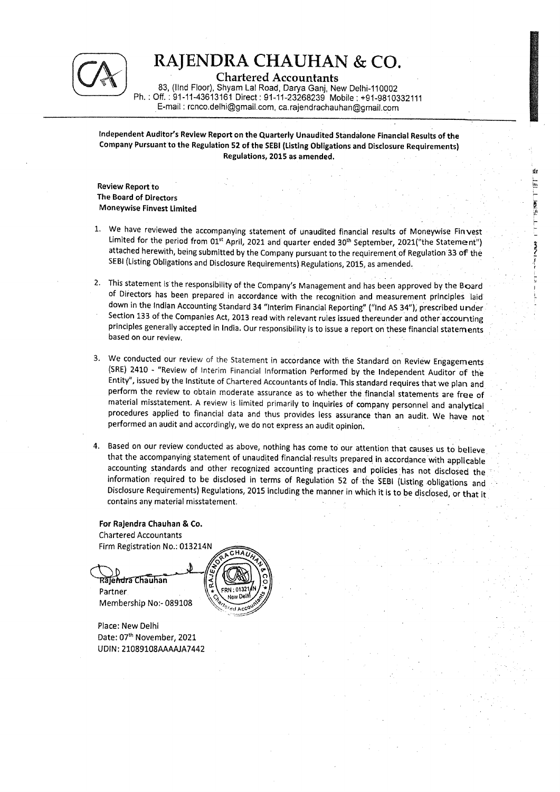

Chartered Accountants

83, (IInd Floor), Shyam Lal Road, Darya Ganj, New Delhi-110002 \_ Ph. : Off. : 91-11-43613161 Direct : 91-11-23268239 Mobile : +91-9810332111 E-mail : rcnco.delhi@gmail.com, ca.rajendrachauhan@gmail.com

Independent Auditor's Review Report on the Quarterly Unaudited Standalone Financial Results of the Company Pursuant to the Regulation 52 of the SEBI (Listing Obligations and Disclosure Requirements) Regulations, 2015 as amended. .

> de  $\overline{\mathbb{E}}$

PRS **per** 

oe President Afrika (1997)

ree ey

Review Report to The Board of Directors Moneywise Finvest Limited

- 1. We have reviewed the accompanying statement of unaudited financial results of Moneywise Finvest<br>Limited for the period from 01<sup>st</sup> April, 2021 and quarter ended 30<sup>th</sup> September, 2021("the Statement") attached herewith, being submitted by the Company pursuant to the requirement of Regulation 33 of the SEBI (Listing Obligations and Disclosure Requirements) Regulations, 2015, as amended.
- 2. This statement is the responsibility of the Company's Management and has been approved by the Board<br>of Directors has been prepared in accordance with the recognition and measurement principles laid<br>down in the Indian Ac based on our review.
- 3. We conducted our review of the Statement in accordance with the Standard on Review Engagements (SRE) 2410 "Review of Interim Financial Information Performed by the Independent Auditor of the Entity", issued by the Ins
- 4. Based on our review conducted as above, nothing has come to our attention that causes us to believe<br>that the accompanying statement of unaudited financial results prepared in accordance with applicable<br>accounting standa

For Rajendra Chauhan & Co. Chartered Accountants Firm Registration No.: 013214N

Rajendra Chauhan Partner Membership No:- 089108

Place: New Delhi Date: 07" November, 2021 UDIN: 21089108AAAAJA7442

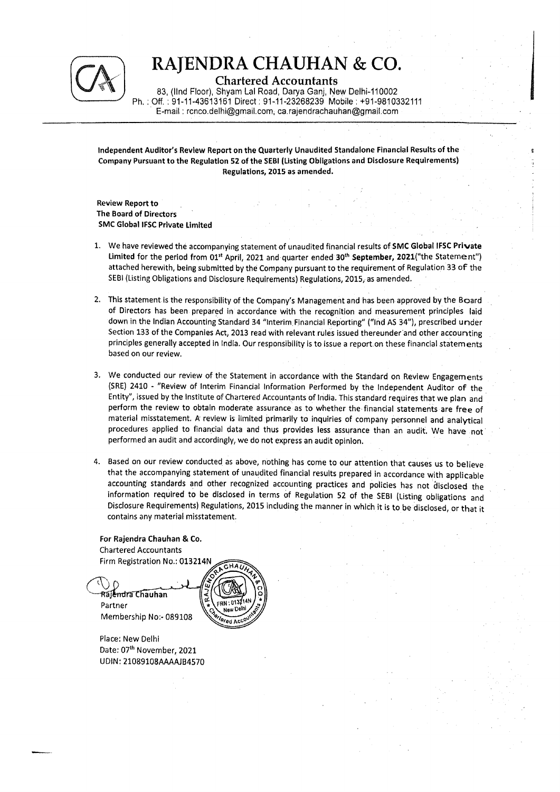

Chartered Accountants

83, (IInd Floor), Shyam Lal Road, Darya Ganj, New Delhi-110002 Ph. : Off. : 91-11-43613161 Direct : 91-11-23268239. Mobile ; +91-98103321114 \_ E-mail : renco.delhi@gmail.com, ca.rajendrachauhan@gmail.com  $\begin{tabular}{|c|c|} \hline & \textbf{RAJENDRA CH}\\ \hline \textbf{BAJENDRA CH} \\ \hline \textbf{BA} \textbf{Pb} \textbf{C} \textbf{I} \textbf{C} \textbf{B} \textbf{C} \textbf{C} \textbf{D} \textbf{D} \textbf{C} \textbf{D} \textbf{D} \textbf{D} \textbf{D} \textbf{D} \textbf{D} \textbf{D} \textbf{D} \textbf{D} \textbf{D} \textbf{D} \textbf{D} \textbf{D} \textbf{D} \textbf{D} \textbf{D} \textbf{D} \textbf{D} \text$ 

> Independent Auditor's Review Report on the Quarterly Unaudited Standalone Financial Results of the Company Pursuant to the Regulation 52 of the SEBI (Listing Obligations and Disclosure Requirements) Regulations, 2015 as amended,

**Review Report to** The Board of Directors SMC Global IFSC Private Limited

- 1. We have reviewed the accompanying statement of unaudited financial results of SMC Global IFSC Private Limited for the period from 01<sup>st</sup> April, 2021 and quarter ended 30<sup>th</sup> September, 2021("the Statement") attached herewith, being submitted by the Company pursuant to the requirement of Regulation 33 of the SEBI (Listing Obligations and Disclosure Requirements) Regulations, 2015, as amended. 7
- 2. This statement is the responsibility of the Company's Management and has been approved by the Board of Directors has been prepared in accordance with the recognition and measurement principles laid down in the Indian Accounting Standard 34 "interim Financial Reporting" ("Ind AS 34"), prescribed under Section 133 of the Companies Act, 2013 read with relevant rules issued thereunder and other accounting principles generally accepted in india. Our responsibility is to issue a report.on these financial statements based on our review.
- 3. We conducted our review of the Statement in accordance with the Standard on Review Engagements (SRE) 2410 - "Review of Interim Financial information Performed by the Independent Auditor of the Entity", issued by the Institute of Chartered Accountants of India. This standard requires that we plan and perform the review to obtain moderate assurance as to whether the financial statements are free of material missta performed an audit and accordingly, we do not express an audit opinion.
- 4. Based on our review conducted as above, nothing has come to our attention that causes us to believe<br>that the accompanying statement of unaudited financial results prepared in accordance with applicable<br>accounting standa information required to be disclosed in terms of Regulation 52 of the SEBI (Listing obligations and Disclosure Requirements) Regulations, 2015 including the manner in which it is to be 'disclosed, or that it contains any material misstatement.

For Rajendra Chauhan & Co. Chartered Accountants Firm Registration No.: 013214N

Rail-Indra Chauhan Partner Membership No:- 089108

Place: New Delhi Date: 07<sup>th</sup> November, 2021 UDIN: 21089108AAAAJB4570

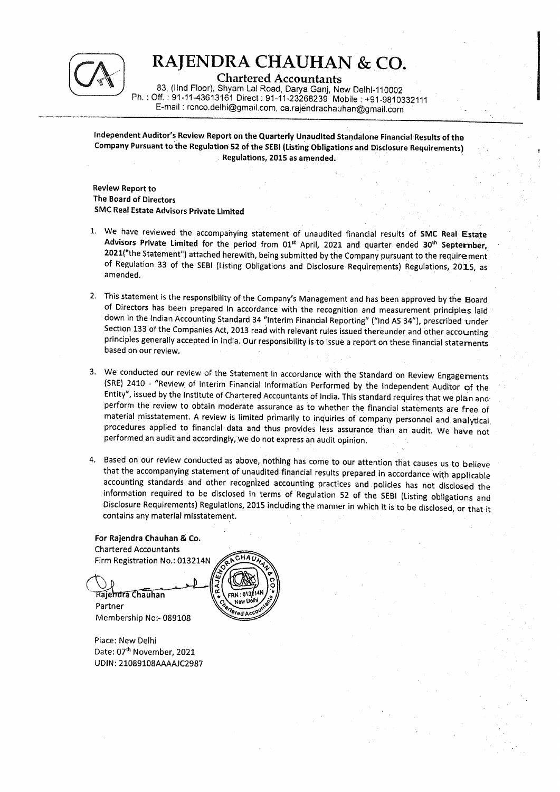

Chartered Accountants<br>83, (IInd Floor), Shyam Lai Road, Darya Ganj, New Delhi-110002 83, Ph, : Off. : 91-11-43613161 Direct : 91-11-23268239 Mobile : +91-9810332111<br>E-mail : renco.delhi@gmail.com, ca.rajendrachauhan@gmail.com

independent Auditor's Review Report on the Quarterly Unaudited Standalone Financial Results of the Company Pursuant to the Regulation 52 of the SEBI (Listing Obligations and Disclosure Requirements) . Regulations, 2015 as amended.

Review Report to The Board of Directors SMC Real Estate Advisors Private Limited

- 1. We have reviewed the accompanying statement of unaudited financial results of SMC Real Estate<br>Advisors Private Limited for the period from  $01^{st}$  April, 2021 and quarter ended  $30^{th}$  Septernber,<br>2021("the Statement") amended,
- 2. This statement is the responsibility of the Company's Management and has been approved by the Board<br>of Directors has been prepared in accordance with the recognition and measurement principles laid<br>down in the Indian Ac
- 3. We conducted our review of the Statement in accordance with the Standard on Review Engagements (SRE) 2410 "Review of Interim Financial Information Performed by the Independent Auditor of the Entity", issued by the Ins
- 4. Based on our review conducted as above, nothing has come to our attention that causes us to believe<br>that the accompanying statement of unaudited financial results prepared in accordance with applicable<br>accounting standa

For Rajendra Chauhan & Co. Chartered Accountants Firm Registration No,: 013214N

Rajendra Chauhan Partner Membership No:- 089108

Place: New Delhi Date: 07" November, 2021 UDIN: 21089108AAAAJC2987

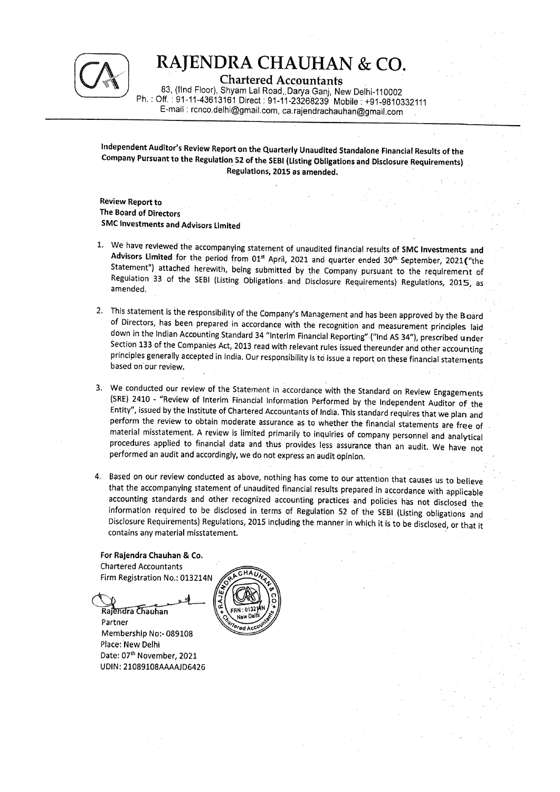

Chartered Accountants<br>83, (IInd Floor), Shyam Lal Road, Darya Ganj, New Delhi-110002<br>Ph. : Off. : 91-11-43613161 Direct : 91-11-23268239 Mobile : +91-9810332111<br>E-mail : renco.delhi@gmail.com, ca.rajendrachauhan@gmail.com  $\begin{tabular}{|c|c|} \hline & \textbf{RAJENDRA CH} \\ \hline \textbf{03, (IInd Floor), Shyam LaI Road} \\ \textbf{03, (IInd Floor), Shyam LaI Road} \\ \textbf{04.191-11-43613161 Direct: 91-11} \\ \hline \textbf{E-mail: reco.delhi@gmail.com,} \end{tabular}$ 

Independent Auditor's Review Report on the Quarterly Unaudited Standalone Financial Results of the<br>Company Pursuant to the Regulation 52 of the SEBI (Listing Obligations and Disclosure Requirements)<br>Regulations, 2015 as am

Review Report to The Board of Directors SMC Investments and Advisors Limited

- 1. We have reviewed the accompanying statement of unaudited financial results of SMC Investments and Advisors Limited for the period from 01<sup>st</sup> April, 2021 and quarter ended 30<sup>th</sup> September, 2021 ("the Statement") attach
- 2. This statement is the responsibility of the Company's Management and has been approved by the Board<br>of Directors, has been prepared in accordance with the recognition and measurement principles laid<br>down in the Indian A
- 3. We conducted our review of the Statement in accordance with the Standard on Review Engagements (SRE) 2410 "Review of Interim Financial Information Performed by the Independent Auditor of the Entity", issued by the Ins
- 4. Based on our review conducted as above, nothing has come to our attention that causes us to believe<br>that the accompanying statement of unaudited financial results prepared in accordance with applicable<br>accounting standa

For Rajendra Chauhan & Co. Chartered Accountants Firm Registration No.: 013214N

Rajendra Chauhan

Partner Membership No:- 089108 Place: New Delhi Date: 07" November, 2021 UDIN: 21089108AAAAJDG6426

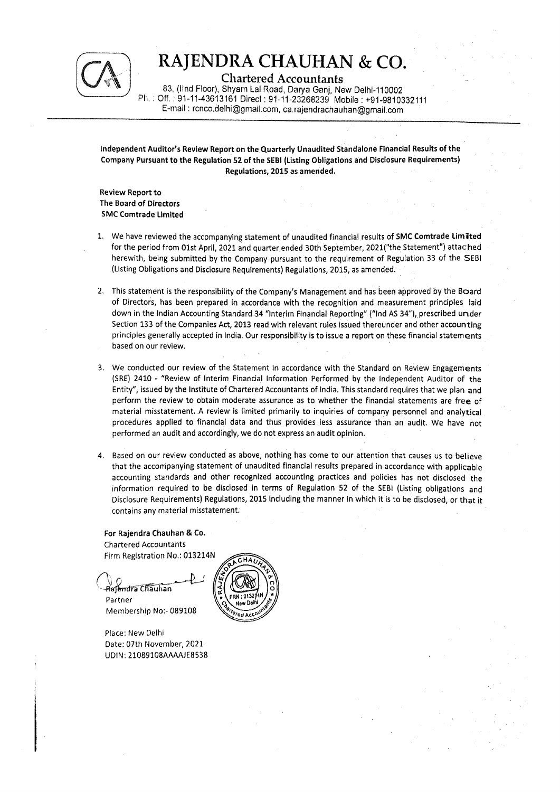

Chartered Accountants

83, (lind Floor), Shyam Lal Road, Darya Ganj, New Deihi-110002 : Off. : 91-11-43613161 Direct : 91-11-23268239 Mobile : +91 -9810332111 E-mail : renco.delhi@gmail. com, ca. rajendrachauhan@gmail.com

Independent Auditor's Review Report on the Quarterly Unaudited Standalone Financial Results of the Company Pursuant to the Regulation 52 of the SEBI (Listing Obligations and Disclosure Requirements) Regulations, 2015 as amended.

Review Report to The Board of Directors SMC Comtrade Limited

- 1. We have reviewed the accompanying statement of unaudited financial results of SMC Comtrade Limited for the period from O1st April, 2021 and quarter ended 30th September, 2021("the Statement") attached herewith, being submitted by the Company pursuant to the requirement of Regulation 33 of the SEBI (Listing Obligations and Disclosure Requirements) Regulations, 2015, as amended.
- 2. This statement is the responsibility of the Company's Management and has been approved by the Board of Directors, has been prepared in accordance with the recognition and measurement principles laid down in the Indian Accounting Standard 34 "Interim Financial Reporting" ("Ind AS 34"), prescribed under Section 133 of the Companies Act, 2013 read with relevant rules issued thereunder and other accounting principles generally accepted in India. Our responsibility.is to issue a report on these financial statements based on our review.
- 3. We conducted our review of the Statement in accordance with the Standard on Review Engagements (SRE) 2410 - "Review of Interim Financial Information Performed by the Independent Auditor of the Entity", issued by the Institute of Chartered Accountants of India, This standard requires that we plan and perform the review to obtain moderate assurance as to whether the financial statements are free of material misstatement. A review is limited primarily to inquiries of company personnel and analytical procedures applied to financial data and thus provides less assurance than an audit. We have not performed an audit and accordingly, we do not express an audit opinion.
- 4, Based on our review conducted as above, nothing has come to our attention that causes us to believe that the accompanying statement of unaudited financial results prepared in accordance with applicable accounting standards and other recognized accounting practices and policies has not disclosed the information required to be disclosed in terms of Regulation 52 of the SEBI (Listing obligations and Disclosure Requirements) Regulations, 2015 Including the manner in which it is ta be disclosed, or that it contains any material misstatement.

For Rajendra Chauhan & Co. Chartered Accountants Firm Registration No.; 013214N

Rajendra Chauhan Partner Membership No:- 089108

Place: New Delhi Date: 07th November, 2021 UDIN: 21089108AAAAJE8538

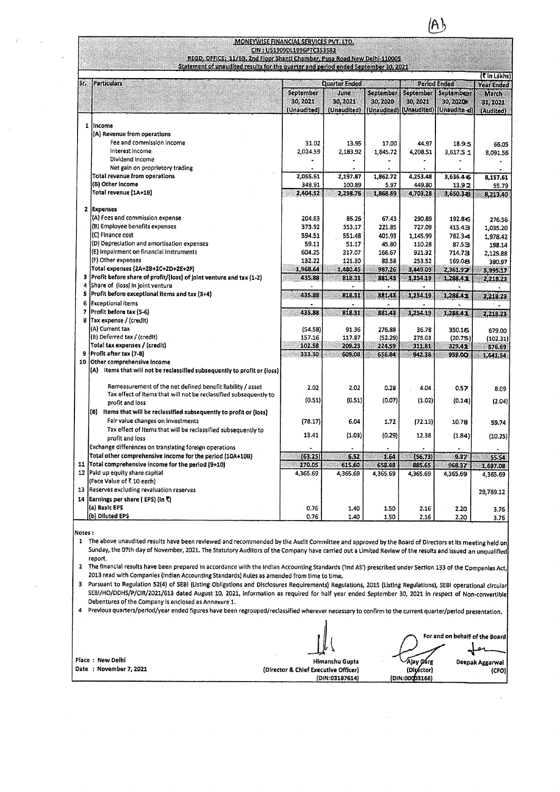|                        | <b>MONEYWISE FINANCIAL SERVICES PVT. LTD.</b>                                                                                                                                                                                                                                                                                                                                                                                                                                                                                                                                                                                                                                                                                                                                                                                                                                                                                                                                                                                                                                                                                                                                                                                     |                                                                               |                                                                              |                                                                           |                                                                                    |                                                                                  |                                                                                        |
|------------------------|-----------------------------------------------------------------------------------------------------------------------------------------------------------------------------------------------------------------------------------------------------------------------------------------------------------------------------------------------------------------------------------------------------------------------------------------------------------------------------------------------------------------------------------------------------------------------------------------------------------------------------------------------------------------------------------------------------------------------------------------------------------------------------------------------------------------------------------------------------------------------------------------------------------------------------------------------------------------------------------------------------------------------------------------------------------------------------------------------------------------------------------------------------------------------------------------------------------------------------------|-------------------------------------------------------------------------------|------------------------------------------------------------------------------|---------------------------------------------------------------------------|------------------------------------------------------------------------------------|----------------------------------------------------------------------------------|----------------------------------------------------------------------------------------|
|                        | REGD. OFFICE: 11/68, 2nd Floor Shantl Chamber, Pusa Road New Delhi-110005<br>Statement of unaudited results for the quarter and period ended September 30, 2021                                                                                                                                                                                                                                                                                                                                                                                                                                                                                                                                                                                                                                                                                                                                                                                                                                                                                                                                                                                                                                                                   | CIN: U51909DL1996PTC353582                                                    |                                                                              |                                                                           |                                                                                    |                                                                                  | (₹ In Lakhs)                                                                           |
| Sr.                    | <b>Particulars</b>                                                                                                                                                                                                                                                                                                                                                                                                                                                                                                                                                                                                                                                                                                                                                                                                                                                                                                                                                                                                                                                                                                                                                                                                                | September<br>30, 2021<br>(Unaudited)                                          | <b>Quarter Ended</b><br>June<br>30, 2021<br>(Unaudited)                      | September<br>30, 2020                                                     | <b>September</b><br>30, 2021                                                       | Period Ended<br>September<br>30, 2020<br>(Unaudited) (Unaudited) (Unaudite -d)   | <b>Year Ended</b><br>March<br>31, 2021<br>(Audited)                                    |
|                        | 1 lincome<br>(A) Revenue from operations<br>Fee and commission income<br>Interest income<br>Dividend Income<br>Net gain on proprietory trading<br>Total revenue from operations<br>(B) Other income<br>Total revenue (1A+1B)                                                                                                                                                                                                                                                                                                                                                                                                                                                                                                                                                                                                                                                                                                                                                                                                                                                                                                                                                                                                      | 31.02<br>2,024.59<br>2,055.61<br>348.91<br>2,404.52                           | 13.95<br>2,183.92<br>÷<br>2,197.87<br>100.89<br>2,298.76                     | 17.00<br>1,845,72<br>1,862.72<br>5.97<br>1,868.69                         | 44.97<br>4,208.51<br>4,253.48<br>449.80<br>4,703,28                                | 18.95<br>3,617.5 1<br>3,636.4<br>13.92<br>3,650.328                              | 66.05<br>8,091.56<br>8,157.61<br>55.79<br>8,213.40                                     |
| 3                      | 2 Expenses<br>(A) Fees and commission expense<br>(B) Employee benefits expenses<br>(C) Finance cost<br>(D) Depreciation and amortisation expenses<br>(E) Impairment on financial instruments<br>(F) Other expenses<br>Total expenses (2A+2B+2C+2D+2E+2F)<br>Profit before share of profit/(loss) of joint venture and tax (1-2)                                                                                                                                                                                                                                                                                                                                                                                                                                                                                                                                                                                                                                                                                                                                                                                                                                                                                                   | 204.63<br>373.92<br>594.51<br>59.11<br>604.25<br>132.22<br>1,968.64<br>435.88 | 86.26<br>353.17<br>551.48<br>51.17<br>317.07<br>121.30<br>1,480.45<br>818.31 | 67.43<br>221.85<br>401.93<br>45,80<br>166.67<br>83.58<br>987.26<br>881.43 | 290.89<br>727.09<br>1,145.99<br>110.28<br>921.32<br>253.52<br>3,449.09<br>1,254.19 | 192.86<br>415.43<br>782.3-4<br>87.53<br>714.73<br>169.08<br>2,361.97<br>1,288.41 | 276.56<br>1,035.20<br>1,978.42<br>198.14<br>2,125.88<br>380.97<br>5,995.17<br>2,218.23 |
| 5<br>6<br>7<br>9<br>10 | Share of (loss) in joint venture<br>Profit before exceptional items and tax (3+4)<br><b>Exceptional items</b><br>Profit before tax (5-6)<br>8 Tax expense / (credit)<br>(A) Current tax<br>(B) Deferred tax / (credit)<br>Total tax expenses / (credit)<br>Profit after tax (7-8)<br>Other comprehensive income                                                                                                                                                                                                                                                                                                                                                                                                                                                                                                                                                                                                                                                                                                                                                                                                                                                                                                                   | 435.88<br>435.88<br>(54.58)<br>157.16<br>102.58<br>333.30                     | 818.31<br>818.31<br>91.36<br>117.87<br>209.23<br>609.08                      | 881.43<br>881.43<br>276.88<br>(52.29)<br>224.59<br>656.84                 | 1,254.19<br>1,254.19<br>36.78<br>275.03<br>311.81<br>942.38                        | 1,288.42<br>1,288.41<br>350.16<br>(20.75)<br>329.41<br>959.00                    | 2,218.23<br>2,218.23<br>679.00<br>(102.31)<br>576.69<br>1,641.54                       |
|                        | (A)<br>Items that will not be reclassified subsequently to profit or (loss)<br>Remeasurement of the net defined benefit liability / asset<br>Tax effect of Items that will not be reclassified subsequently to<br>profit and loss<br>(B) Items that will be reclassified subsequently to profit or (loss)<br>Fair value changes on investments<br>Tax effect of Items that will be reclassified subsequently to<br>profit and loss<br>Exchange differences on translating foreign operations                                                                                                                                                                                                                                                                                                                                                                                                                                                                                                                                                                                                                                                                                                                                      | 2.02<br>(0.51)<br>(78.17)<br>13.41                                            | 2.02<br>(0.51)<br>6.04<br>(1.03)                                             | 0.28<br>(0.07)<br>1.72<br>(0.29)                                          | 4.04<br>(1.02)<br>(72.13)<br>12.38                                                 | 0.57<br>(0.14)<br>10.78<br>(1.84)                                                | 8.09<br>(2.04)<br>59,74<br>(10.25)                                                     |
| 12                     | Total other comprehensive income for the period (10A+10B)<br>11 Total comprehensive income for the period (9+10)<br>Paid up equity share capital<br>(Face Value of ₹.10 each)<br>13 Reserves excluding revaluation reserves<br>14 Earnings per share (EPS) (In ₹)<br>(a) Basic EPS                                                                                                                                                                                                                                                                                                                                                                                                                                                                                                                                                                                                                                                                                                                                                                                                                                                                                                                                                | (63.25)<br>270.05<br>4,365.69<br>$0.76 -$                                     | 6.52<br>615.60<br>4,365.69<br>1.40                                           | 1.64<br>658.48<br>4,365,69<br>1.50                                        | (56.73)<br>885.65<br>4,365.69<br>2.16                                              | 9.37<br>968.37<br>4,365.69<br>2.20                                               | 55.54<br>1,697.08<br>4,365.69<br>29,789.12                                             |
|                        | 3.76<br>(b) Diluted EPS<br>0.76<br>1.40<br>1.50<br>2.16<br>$2.20^{\circ}$<br>3.76<br>Notes :<br>1 The above unaudited results have been reviewed and recommended by the Audit Committee and approved by the Board of Directors at its meeting held on<br>Sunday, the 07th day of November, 2021. The Statutory Auditors of the Company have carried out a Limited Review of the results and issued an unqualified<br>report.<br>2. The financial results have been prepared in accordance with the Indian Accounting Standards ('ind AS') prescribed under Section 133 of the Companies Act,<br>2013 read with Companies (Indian Accounting Standards) Rules as amended from time to time.<br>3 Pursuant to Regulation 52(4) of SEBI (Listing Obligations and Disclosures Requirements) Regulations, 2015 (Listing Regulations), SEBI operational circular<br>SEBI/HO/DDHS/P/CIR/2021/613 dated August 10, 2021, information as required for half year ended September 30, 2021 in respect of Non-convertible<br>Debentures of the Company is enclosed as Annexure 1.<br>4 Previous quarters/period/year ended figures have been regrouped/reclassified wherever necessary to confirm to the current quarter/period presentation. |                                                                               |                                                                              |                                                                           |                                                                                    |                                                                                  |                                                                                        |
|                        | Place : New Delhi<br>Date: November 7, 2021                                                                                                                                                                                                                                                                                                                                                                                                                                                                                                                                                                                                                                                                                                                                                                                                                                                                                                                                                                                                                                                                                                                                                                                       | (Director & Chief Executive Officer)                                          | Himanshu Gupta<br>(DIN:03187614)                                             |                                                                           | Ajay Gárg<br>(Director)<br>(DIN:00003166)                                          | For and on behalf of the Board                                                   | Deepak Aggarwal<br>(CFO)                                                               |
|                        |                                                                                                                                                                                                                                                                                                                                                                                                                                                                                                                                                                                                                                                                                                                                                                                                                                                                                                                                                                                                                                                                                                                                                                                                                                   |                                                                               |                                                                              |                                                                           |                                                                                    |                                                                                  |                                                                                        |

|   | 2. The financial results have been prepared in accordance with the Indian Accounting Standards ('Ind AS') prescribed under Section 133 of the Companies Act,                                                                                                                                                                                                          |                                      |                |                                |  |  |
|---|-----------------------------------------------------------------------------------------------------------------------------------------------------------------------------------------------------------------------------------------------------------------------------------------------------------------------------------------------------------------------|--------------------------------------|----------------|--------------------------------|--|--|
|   | 2013 read with Companies (Indian Accounting Standards) Rules as amended from time to time.                                                                                                                                                                                                                                                                            |                                      |                |                                |  |  |
|   | Pursuant to Regulation 52(4) of SEBI (Listing Obligations and Disclosures Requirements) Regulations, 2015 (Listing Regulations), SEBI operational circular<br>SEBI/HO/DDHS/P/CIR/2021/613 dated August 10, 2021, information as required for half year ended September 30, 2021 in respect of Non-convertible<br>Debentures of the Company is enclosed as Annexure 1. |                                      |                |                                |  |  |
| 4 | Previous quarters/period/year ended figures have been regrouped/reclassified wherever necessary to confirm to the current quarter/period presentation,                                                                                                                                                                                                                |                                      |                |                                |  |  |
|   |                                                                                                                                                                                                                                                                                                                                                                       |                                      |                | For and on behalf of the Board |  |  |
|   | Place : New Delhi                                                                                                                                                                                                                                                                                                                                                     | Himanshu Gupta                       | 'Ajay Garg     | Deepak Aggarwal                |  |  |
|   | Date: November 7, 2021                                                                                                                                                                                                                                                                                                                                                | (Director & Chief Executive Officer) | (Director)     | (CFO)                          |  |  |
|   |                                                                                                                                                                                                                                                                                                                                                                       | (DIN:03187614)                       | (DIN:00003166) |                                |  |  |
|   |                                                                                                                                                                                                                                                                                                                                                                       |                                      |                |                                |  |  |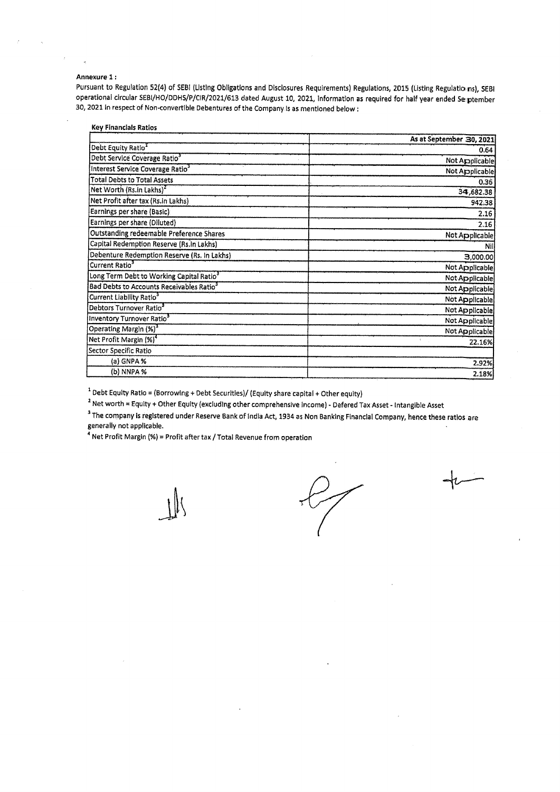#### Annexure-1:

| nexure 1 :                                                                                                                          |                          |
|-------------------------------------------------------------------------------------------------------------------------------------|--------------------------|
| suant to Regulation 52(4) of SEBI (Listing Obligations and Disclosures Requirements) Regulations, 2015 (Listing Regulatio ns), SEBI |                          |
| erational circular SEBI/HO/DDHS/P/CIR/2021/613 dated August 10, 2021, information as required for half year ended Se ptember        |                          |
| 2021 in respect of Non-convertible Debentures of the Company is as mentioned below :                                                |                          |
|                                                                                                                                     |                          |
| <b>Key Financials Ratios</b>                                                                                                        |                          |
|                                                                                                                                     | As at September 30, 2021 |
| Debt Equity Ratio <sup>1</sup>                                                                                                      | 0.64                     |
| Debt Service Coverage Ratio3                                                                                                        | Not Applicable           |
| Interest Service Coverage Ratio <sup>3</sup>                                                                                        | Not Applicable           |
| <b>Total Debts to Total Assets</b>                                                                                                  | 0.36                     |
| Net Worth (Rs.in Lakhs) <sup>2</sup>                                                                                                | 34,682.38                |
| Net Profit after tax (Rs.In Lakhs)                                                                                                  | 942.38                   |
| Earnings per share (Basic)                                                                                                          | 2.16                     |
| Earnings per share (Diluted)                                                                                                        | 2.16                     |
| <b>Outstanding redeemable Preference Shares</b>                                                                                     | Not Applicable           |
| Capital Redemption Reserve (Rs.in Lakhs)                                                                                            | Nil                      |
| Debenture Redemption Reserve (Rs. In Lakhs)<br>Current Ratio <sup>3</sup>                                                           | 3,000.00                 |
|                                                                                                                                     | Not Applicable           |
| Long Term Debt to Working Capital Ratio <sup>3</sup>                                                                                | Not Applicable           |
| <b>Bad Debts to Accounts Receivables Ratio<sup>3</sup></b><br>Current Liability Ratio <sup>3</sup>                                  | Not Applicable           |
| Debtors Turnover Ratio <sup>3</sup>                                                                                                 | Not Applicable           |
|                                                                                                                                     | Not Applicable           |
| Inventory Turnover Ratio <sup>3</sup>                                                                                               | Not Applicable           |
| Operating Margin (%) <sup>3</sup>                                                                                                   | Not Applicable           |
| Net Profit Margin (%) <sup>4</sup>                                                                                                  | 22.16%                   |
| Sector Specific Ratio                                                                                                               |                          |
| (a) GNPA %<br>(b) NNPA %                                                                                                            | 2.92%<br>2.18%           |
|                                                                                                                                     |                          |

\* Debt Equity Ratio = (Borrowing + Debt Securities)/ (Equity share capital + Other equity)

? Net worth = Equity + Other Equity (excluding other comprehensive Income) - Defered Tax Asset - Intangible Asset

 $^3$  The company is registered under Reserve Bank of india Act, 1934 as Non Banking Financial Company, hence these ratios are generally not applicable. —

<sup>4</sup> Net Profit Margin (%) = Profit after tax / Total Revenue from operation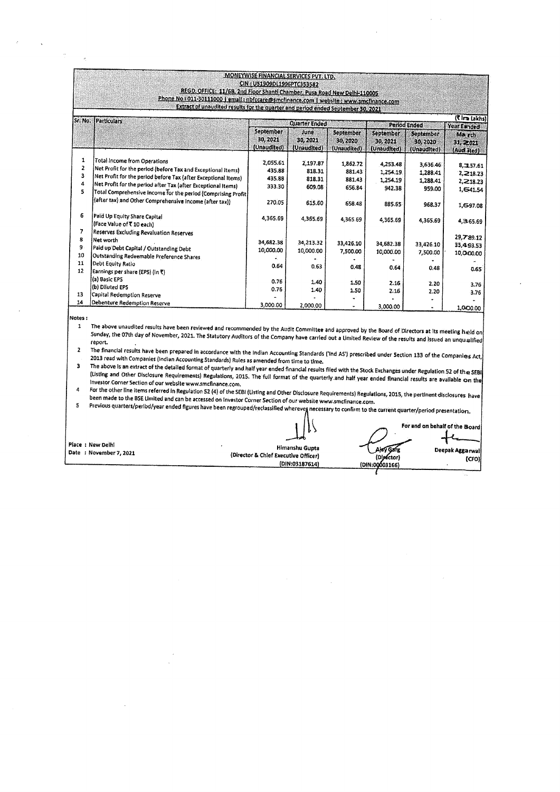|                        |                                                                                                                                                                                                                                                                                                                                                                                                                                                                                                                                                                  |                                                                      |                                          |                                   |                                | $\mathcal{A}^{\mathcal{A}}$ , $\mathcal{A}^{\mathcal{A}}$ , $\mathcal{A}^{\mathcal{A}}$ |                                                   |
|------------------------|------------------------------------------------------------------------------------------------------------------------------------------------------------------------------------------------------------------------------------------------------------------------------------------------------------------------------------------------------------------------------------------------------------------------------------------------------------------------------------------------------------------------------------------------------------------|----------------------------------------------------------------------|------------------------------------------|-----------------------------------|--------------------------------|-----------------------------------------------------------------------------------------|---------------------------------------------------|
|                        |                                                                                                                                                                                                                                                                                                                                                                                                                                                                                                                                                                  |                                                                      | $\sim 100$ km s $^{-1}$                  |                                   | <b>Contract</b>                |                                                                                         |                                                   |
|                        |                                                                                                                                                                                                                                                                                                                                                                                                                                                                                                                                                                  | MONEYWISE FINANCIAL SERVICES PVT. LTD.<br>CIN: US1909DL1996PTC353582 |                                          |                                   |                                |                                                                                         |                                                   |
|                        | REGD. OFFICE: 11/68, 2nd Floor Shantl Chamber, Pusa Road New Delhi-110005<br>Phone No : 011-30111000   email : nbfccare@smcfinance.com   website : www.smcfinance.com<br>Extract of unaudited results for the quarter and period ended September 30, 2021                                                                                                                                                                                                                                                                                                        |                                                                      |                                          |                                   |                                |                                                                                         |                                                   |
|                        |                                                                                                                                                                                                                                                                                                                                                                                                                                                                                                                                                                  |                                                                      |                                          |                                   |                                |                                                                                         |                                                   |
|                        | Sr. No. [Particulars]                                                                                                                                                                                                                                                                                                                                                                                                                                                                                                                                            | September<br>30, 2021                                                | <b>Quarter Ended</b><br>June<br>30, 2021 | September<br>30, 2020             | September<br>30, 2021          | Period Ended<br>September<br>30, 2020                                                   | (Time Lakhs)<br>Year Exided<br>Ma rch<br>31, 2021 |
| 1<br>2                 | Total Income from Operations<br>Net Profit for the period (before Tax and Exceptional Items)                                                                                                                                                                                                                                                                                                                                                                                                                                                                     | (Unaudited)<br>2.055.61<br>435.88                                    | (Unaudited)<br>2,197.87<br>818.31        | (Unaudited)<br>1,862.72<br>881.43 | (Unaudited)<br>4,253.48        | (Unaudited)<br>3,636.46                                                                 | (Aud Tted)<br>8,3,57.61                           |
| з<br>4<br>5            | Net Profit for the period before Tax (after Exceptional Items)<br>Net Profit for the period after Tax (after Exceptional Items)<br>Total Comprehensive Income for the period (Comprising Profit)                                                                                                                                                                                                                                                                                                                                                                 | 435.88<br>333.30                                                     | 818.31<br>609.08                         | 881.43<br>656.84                  | 1,254.19<br>1,254.19<br>942.38 | 1,288.41<br>1,288.41<br>959.00                                                          | 2,218.23<br>2,218.23<br>1,641.54                  |
| 6                      | (after tax) and Other Comprehensive Income (after tax))<br>Paid Up Equity Share Capital<br>(Face Value of T 10 each)                                                                                                                                                                                                                                                                                                                                                                                                                                             | 270.05<br>4,365.69                                                   | 615.60<br>4,365.69                       | 658.48<br>4,365.69                | 885.65<br>4,365.69             | 968.37<br>4,365.69                                                                      | 1,697.08<br>4,365.69                              |
| 7<br>8<br>9<br>10      | Reserves Excluding Revaluation Reserves<br>Net worth<br>Paid up Debt Capital / Outstanding Debt                                                                                                                                                                                                                                                                                                                                                                                                                                                                  | 34,682.38<br>10,000.00                                               | 34,213.32<br>10,000.00                   | 33,426.10<br>7,500.00             | 34,682.38<br>10,000.00         | 33,426.10<br>7,500.00                                                                   | 29,789.12<br>33,493.53<br>10,000.00               |
| 11<br>12               | Outstanding Redeemable Preference Shares<br>Debt Equity Ratio<br>Earnings per share (EPS) (in ₹)<br>(a) Basic EPS                                                                                                                                                                                                                                                                                                                                                                                                                                                | 0.64<br>0.76                                                         | 0.63<br>1.40                             | 0.48<br>1.50                      | 0.64<br>2.16                   | 0.48                                                                                    | 0.65                                              |
| 13<br>14               | (b) Diluted EPS<br>Capital Redemption Reserve<br>Debenture Redemption Reserve                                                                                                                                                                                                                                                                                                                                                                                                                                                                                    | 0.76<br>3,000.00                                                     | 1.40<br>2,000.00                         | 1.50<br>$\bullet$<br>$\bullet$    | 2.16<br>3,000.00               | 2.20<br>2.20                                                                            | 3.76<br>3.76<br>1,000.00                          |
| Notes:<br>$\mathbf{1}$ | The above unaudited results have been reviewed and recommended by the Audit Committee and approved by the Board of Directors at its meeting held on                                                                                                                                                                                                                                                                                                                                                                                                              |                                                                      |                                          |                                   |                                |                                                                                         |                                                   |
| 2<br>3.                | Sunday, the 07th day of November, 2021. The Statutory Auditors of the Company have carried out a Limited Review of the results and issued an unqualified<br>report.<br>The financial results have been prepared in accordance with the Indian Accounting Standards ('Ind AS') prescribed under Section 133 of the Companies Act,<br>2013 read with Companies (Indian Accounting Standards) Rules as amended from time to time.                                                                                                                                   |                                                                      |                                          |                                   |                                |                                                                                         |                                                   |
| 4                      | The above is an extract of the detailed format of quarterly and half year ended financial results filed with the Stock Exchanges under Regulation 52 of the SEBI<br>(Listing and Other Disclosure Requirements) Regulations, 2015. The full format of the quarterly and half year ended financial results are available on the<br>Investor Corner Section of our website www.smcfinance.com.<br>For the other line items referred in Regulation 52 (4) of the SEBI (Listing and Other Disclosure Requirements) Regulations, 2015, the pertinent disclosures have |                                                                      |                                          |                                   |                                |                                                                                         |                                                   |
| 5                      | been made to the BSE Umited and can be accessed on investor Corner Section of our website www.smcfinance.com.<br>Previous quarters/period/year ended figures have been regrouped/reclassified wherever necessary to confirm to the current quarter/period presentation,                                                                                                                                                                                                                                                                                          |                                                                      |                                          |                                   |                                |                                                                                         |                                                   |
|                        | Place : New Delhi<br>Date : November 7, 2021                                                                                                                                                                                                                                                                                                                                                                                                                                                                                                                     | (Director & Chief Executive Officer)                                 | Himanshu Gupta                           |                                   | (Director)                     | For and on behalf of the Board                                                          | Deepak Aggarwal<br>(CFO)                          |

3 Investor The {Listing and above Corner Is an extract of the detailed format of quarterly and half year ended financial results filed with the Stock Exchanges under Regulation 52 of the SEBI<br>1. Other Disclosure Requiremental Break View a Rest. File of the Stock Other Disclosure Requirements) Regulations, 2015. The full format of the quarterly and half year ended financial results are available on the Section of our website www.smcfinance.com. the company of the company

(Issing and Other Discourse Requirements) Regulations, 2015. The full for<br>Investor Corner Section of our website www.simplinance.com.<br>For the other line items referred in Regulation 52 (1) of be SEB (Listing and Other Disc For the definition of the Website www.sinumance.com.<br>For the other line items referred in Regulation 52 (4) of the SEBI (Listing and Other Disclosure Requirements) Regulations, 2015, the pertinent disclosures have<br>been mad

Place : New Delhi . Himanshu Gupts Deepak Aggarwal Date : November 7, 2021 (Director &Chief Executive Officer) (Cfo) {DIN:03187614)

 $\overbrace{\qquad \qquad }^{ \frown \qquad \qquad }$